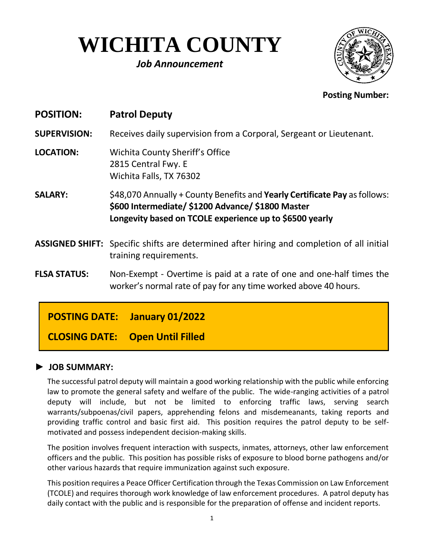# **WICHITA COUNTY**

## *Job Announcement*



#### **Posting Number:**

| <b>POSITION:</b>    | <b>Patrol Deputy</b>                                                                                                                                                                       |
|---------------------|--------------------------------------------------------------------------------------------------------------------------------------------------------------------------------------------|
| <b>SUPERVISION:</b> | Receives daily supervision from a Corporal, Sergeant or Lieutenant.                                                                                                                        |
| <b>LOCATION:</b>    | Wichita County Sheriff's Office<br>2815 Central Fwy. E<br>Wichita Falls, TX 76302                                                                                                          |
| <b>SALARY:</b>      | \$48,070 Annually + County Benefits and Yearly Certificate Pay as follows:<br>\$600 Intermediate/ \$1200 Advance/ \$1800 Master<br>Longevity based on TCOLE experience up to \$6500 yearly |
|                     | ASSIGNED SHIFT: Specific shifts are determined after hiring and completion of all initial<br>training requirements.                                                                        |
| <b>FLSA STATUS:</b> | Non-Exempt - Overtime is paid at a rate of one and one-half times the<br>worker's normal rate of pay for any time worked above 40 hours.                                                   |
|                     |                                                                                                                                                                                            |

## **POSTING DATE: January 01/2022**

**CLOSING DATE: Open Until Filled**

#### **► JOB SUMMARY:**

The successful patrol deputy will maintain a good working relationship with the public while enforcing law to promote the general safety and welfare of the public. The wide-ranging activities of a patrol deputy will include, but not be limited to enforcing traffic laws, serving search warrants/subpoenas/civil papers, apprehending felons and misdemeanants, taking reports and providing traffic control and basic first aid. This position requires the patrol deputy to be selfmotivated and possess independent decision-making skills.

The position involves frequent interaction with suspects, inmates, attorneys, other law enforcement officers and the public. This position has possible risks of exposure to blood borne pathogens and/or other various hazards that require immunization against such exposure.

This position requires a Peace Officer Certification through the Texas Commission on Law Enforcement (TCOLE) and requires thorough work knowledge of law enforcement procedures. A patrol deputy has daily contact with the public and is responsible for the preparation of offense and incident reports.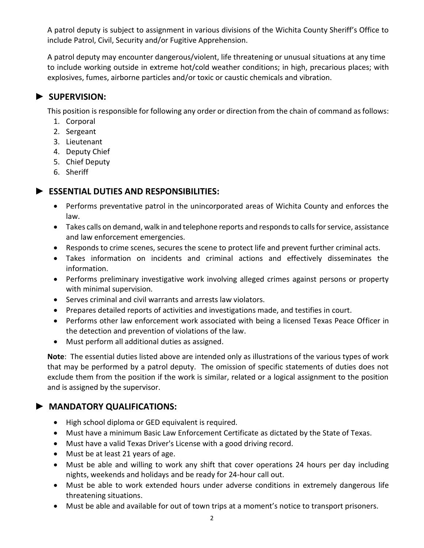A patrol deputy is subject to assignment in various divisions of the Wichita County Sheriff's Office to include Patrol, Civil, Security and/or Fugitive Apprehension.

A patrol deputy may encounter dangerous/violent, life threatening or unusual situations at any time to include working outside in extreme hot/cold weather conditions; in high, precarious places; with explosives, fumes, airborne particles and/or toxic or caustic chemicals and vibration.

#### **► SUPERVISION:**

This position is responsible for following any order or direction from the chain of command as follows:

- 1. Corporal
- 2. Sergeant
- 3. Lieutenant
- 4. Deputy Chief
- 5. Chief Deputy
- 6. Sheriff

#### **► ESSENTIAL DUTIES AND RESPONSIBILITIES:**

- Performs preventative patrol in the unincorporated areas of Wichita County and enforces the law.
- Takes calls on demand, walk in and telephone reports and responds to calls for service, assistance and law enforcement emergencies.
- Responds to crime scenes, secures the scene to protect life and prevent further criminal acts.
- Takes information on incidents and criminal actions and effectively disseminates the information.
- Performs preliminary investigative work involving alleged crimes against persons or property with minimal supervision.
- Serves criminal and civil warrants and arrests law violators.
- Prepares detailed reports of activities and investigations made, and testifies in court.
- Performs other law enforcement work associated with being a licensed Texas Peace Officer in the detection and prevention of violations of the law.
- Must perform all additional duties as assigned.

**Note**: The essential duties listed above are intended only as illustrations of the various types of work that may be performed by a patrol deputy. The omission of specific statements of duties does not exclude them from the position if the work is similar, related or a logical assignment to the position and is assigned by the supervisor.

#### **► MANDATORY QUALIFICATIONS:**

- High school diploma or GED equivalent is required.
- Must have a minimum Basic Law Enforcement Certificate as dictated by the State of Texas.
- Must have a valid Texas Driver's License with a good driving record.
- Must be at least 21 years of age.
- Must be able and willing to work any shift that cover operations 24 hours per day including nights, weekends and holidays and be ready for 24-hour call out.
- Must be able to work extended hours under adverse conditions in extremely dangerous life threatening situations.
- Must be able and available for out of town trips at a moment's notice to transport prisoners.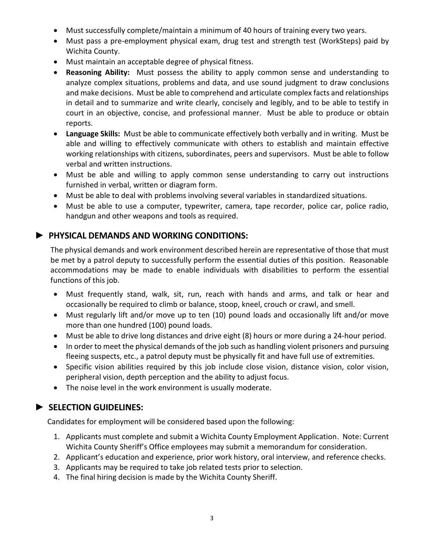- Must successfully complete/maintain a minimum of 40 hours of training every two years.
- Must pass a pre-employment physical exam, drug test and strength test (WorkSteps) paid by Wichita County.
- Must maintain an acceptable degree of physical fitness.
- **Reasoning Ability:** Must possess the ability to apply common sense and understanding to analyze complex situations, problems and data, and use sound judgment to draw conclusions and make decisions. Must be able to comprehend and articulate complex facts and relationships in detail and to summarize and write clearly, concisely and legibly, and to be able to testify in court in an objective, concise, and professional manner. Must be able to produce or obtain reports.
- **Language Skills:** Must be able to communicate effectively both verbally and in writing. Must be able and willing to effectively communicate with others to establish and maintain effective working relationships with citizens, subordinates, peers and supervisors. Must be able to follow verbal and written instructions.
- Must be able and willing to apply common sense understanding to carry out instructions furnished in verbal, written or diagram form.
- Must be able to deal with problems involving several variables in standardized situations.
- Must be able to use a computer, typewriter, camera, tape recorder, police car, police radio, handgun and other weapons and tools as required.

#### **► PHYSICAL DEMANDS AND WORKING CONDITIONS:**

The physical demands and work environment described herein are representative of those that must be met by a patrol deputy to successfully perform the essential duties of this position. Reasonable accommodations may be made to enable individuals with disabilities to perform the essential functions of this job.

- Must frequently stand, walk, sit, run, reach with hands and arms, and talk or hear and occasionally be required to climb or balance, stoop, kneel, crouch or crawl, and smell.
- Must regularly lift and/or move up to ten (10) pound loads and occasionally lift and/or move more than one hundred (100) pound loads.
- Must be able to drive long distances and drive eight (8) hours or more during a 24-hour period.
- In order to meet the physical demands of the job such as handling violent prisoners and pursuing fleeing suspects, etc., a patrol deputy must be physically fit and have full use of extremities.
- Specific vision abilities required by this job include close vision, distance vision, color vision, peripheral vision, depth perception and the ability to adjust focus.
- The noise level in the work environment is usually moderate.

#### **► SELECTION GUIDELINES:**

Candidates for employment will be considered based upon the following:

- 1. Applicants must complete and submit a Wichita County Employment Application. Note: Current Wichita County Sheriff's Office employees may submit a memorandum for consideration.
- 2. Applicant's education and experience, prior work history, oral interview, and reference checks.
- 3. Applicants may be required to take job related tests prior to selection.
- 4. The final hiring decision is made by the Wichita County Sheriff.